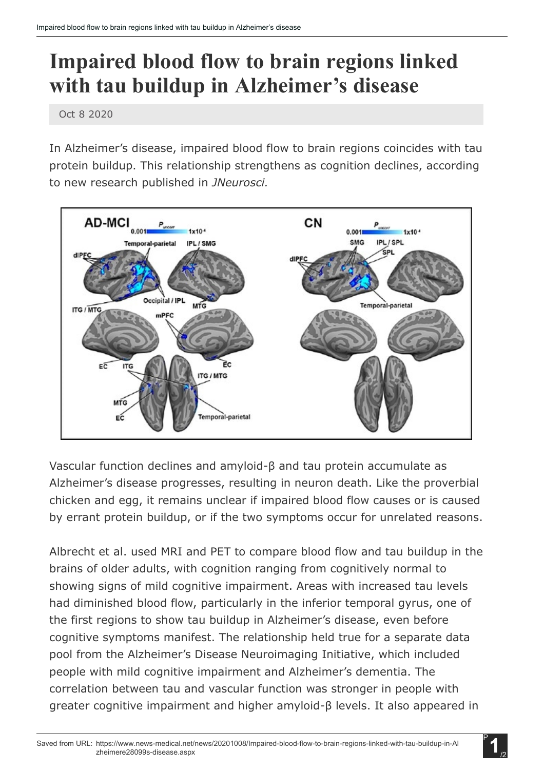## Impaired blood flow to brain regions linked with tau buildup in Alzheimer's disease

Oct 8 2020

In Alzheimer's disease, impaired blood flow to brain regions coincides with tau protein buildup. This relationship strengthens as cognition declines, according to new research published in *JNeurosci.*



Vascular function declines and amyloid-β and tau protein accumulate as Alzheimer's disease progresses, resulting in neuron death. Like the proverbial chicken and egg, it remains unclear if impaired blood flow causes or is caused by errant protein buildup, or if the two symptoms occur for unrelated reasons.

Albrecht et al. used MRI and PET to compare blood flow and tau buildup in the brains of older adults, with cognition ranging from cognitively normal to showing signs of mild cognitive impairment. Areas with increased tau levels had diminished blood flow, particularly in the inferior temporal gyrus, one of the first regions to show tau buildup in Alzheimer's disease, even before cognitive symptoms manifest. The relationship held true for a separate data pool from the Alzheimer's Disease Neuroimaging Initiative, which included people with mild cognitive impairment and Alzheimer's dementia. The correlation between tau and vascular function was stronger in people with greater cognitive impairment and higher amyloid-β levels. It also appeared in